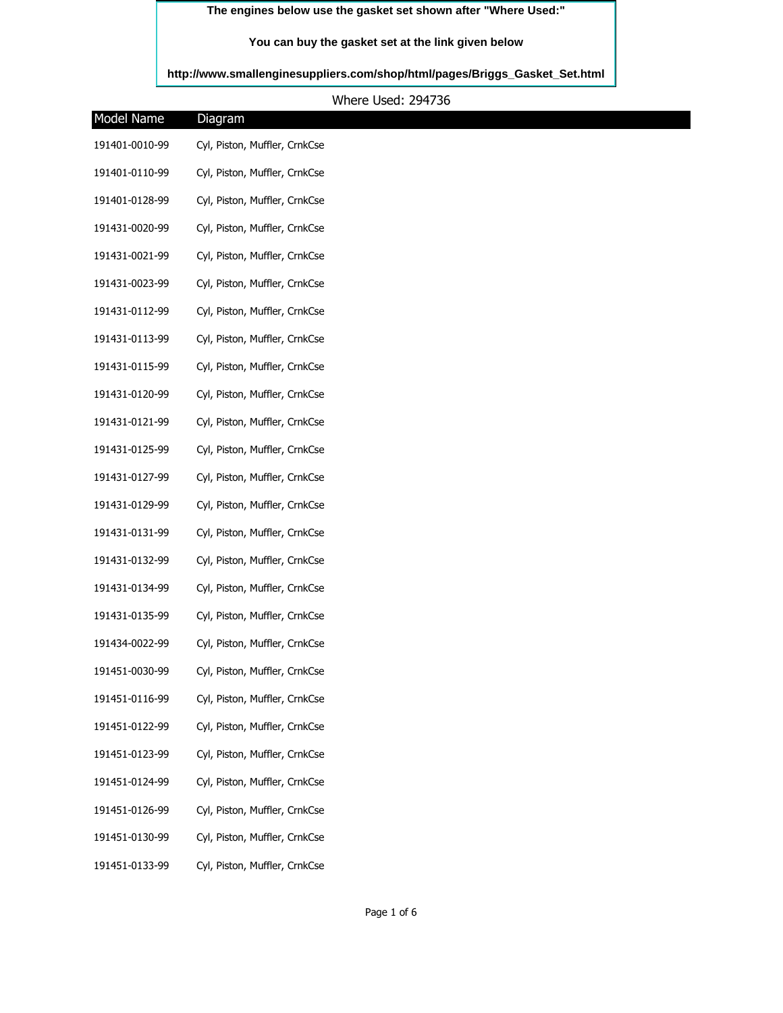## **The engines below use the gasket set shown after "Where Used:"**

## **You can buy the gasket set at the link given below**

**[http://www.smallenginesuppliers.com/shop/html/pages/Briggs\\_Gasket\\_Set.html](http://www.smallenginesuppliers.com/shop/html/pages/Briggs_Gasket_Set.html)**

Where Used: 294736

| Diagram                       |  |
|-------------------------------|--|
| Cyl, Piston, Muffler, CrnkCse |  |
| Cyl, Piston, Muffler, CrnkCse |  |
| Cyl, Piston, Muffler, CrnkCse |  |
| Cyl, Piston, Muffler, CrnkCse |  |
| Cyl, Piston, Muffler, CrnkCse |  |
| Cyl, Piston, Muffler, CrnkCse |  |
| Cyl, Piston, Muffler, CrnkCse |  |
| Cyl, Piston, Muffler, CrnkCse |  |
| Cyl, Piston, Muffler, CrnkCse |  |
| Cyl, Piston, Muffler, CrnkCse |  |
| Cyl, Piston, Muffler, CrnkCse |  |
| Cyl, Piston, Muffler, CrnkCse |  |
| Cyl, Piston, Muffler, CrnkCse |  |
| Cyl, Piston, Muffler, CrnkCse |  |
| Cyl, Piston, Muffler, CrnkCse |  |
| Cyl, Piston, Muffler, CrnkCse |  |
| Cyl, Piston, Muffler, CrnkCse |  |
| Cyl, Piston, Muffler, CrnkCse |  |
| Cyl, Piston, Muffler, CrnkCse |  |
| Cyl, Piston, Muffler, CrnkCse |  |
| Cyl, Piston, Muffler, CrnkCse |  |
| Cyl, Piston, Muffler, CrnkCse |  |
| Cyl, Piston, Muffler, CrnkCse |  |
| Cyl, Piston, Muffler, CrnkCse |  |
| Cyl, Piston, Muffler, CrnkCse |  |
| Cyl, Piston, Muffler, CrnkCse |  |
| Cyl, Piston, Muffler, CrnkCse |  |
|                               |  |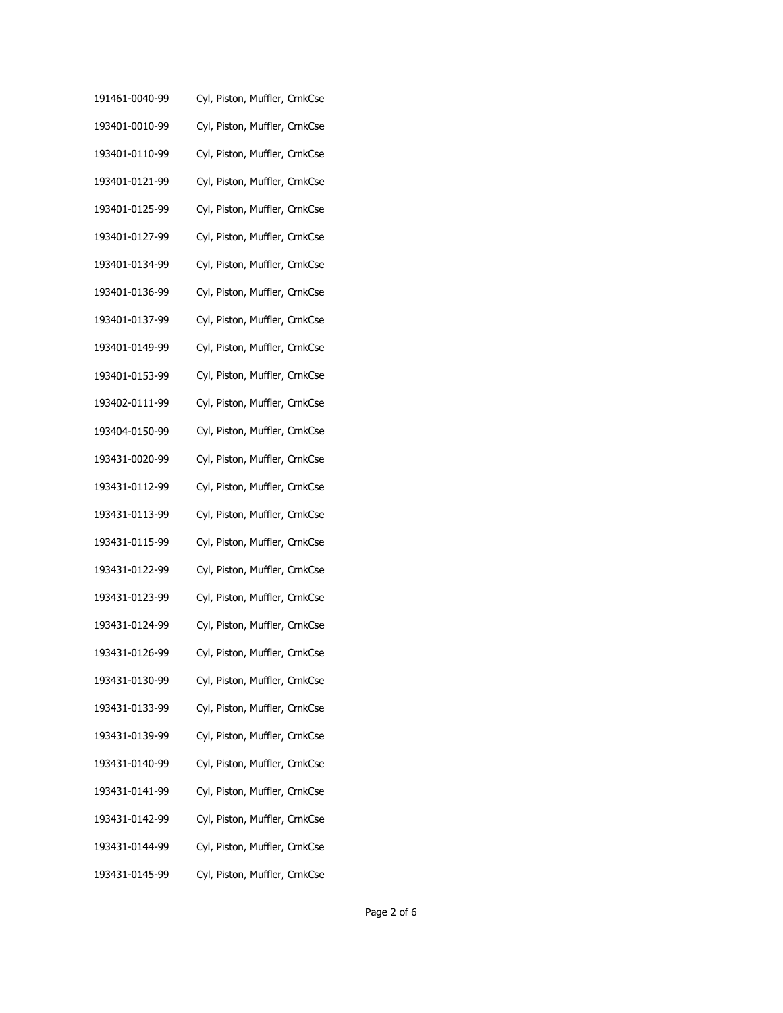- 191461-0040-99 Cyl, Piston, Muffler, CrnkCse
- 193401-0010-99 Cyl, Piston, Muffler, CrnkCse
- 193401-0110-99 Cyl, Piston, Muffler, CrnkCse
- 193401-0121-99 Cyl, Piston, Muffler, CrnkCse
- 193401-0125-99 Cyl, Piston, Muffler, CrnkCse
- 193401-0127-99 Cyl, Piston, Muffler, CrnkCse
- 193401-0134-99 Cyl, Piston, Muffler, CrnkCse
- 193401-0136-99 Cyl, Piston, Muffler, CrnkCse
- 193401-0137-99 Cyl, Piston, Muffler, CrnkCse
- 193401-0149-99 Cyl, Piston, Muffler, CrnkCse
- 193401-0153-99 Cyl, Piston, Muffler, CrnkCse
- 193402-0111-99 Cyl, Piston, Muffler, CrnkCse
- 193404-0150-99 Cyl, Piston, Muffler, CrnkCse
- 193431-0020-99 Cyl, Piston, Muffler, CrnkCse
- 193431-0112-99 Cyl, Piston, Muffler, CrnkCse
- 193431-0113-99 Cyl, Piston, Muffler, CrnkCse
- 193431-0115-99 Cyl, Piston, Muffler, CrnkCse
- 193431-0122-99 Cyl, Piston, Muffler, CrnkCse
- 193431-0123-99 Cyl, Piston, Muffler, CrnkCse
- 193431-0124-99 Cyl, Piston, Muffler, CrnkCse
- 193431-0126-99 Cyl, Piston, Muffler, CrnkCse
- 193431-0130-99 Cyl, Piston, Muffler, CrnkCse
- 193431-0133-99 Cyl, Piston, Muffler, CrnkCse
- 193431-0139-99 Cyl, Piston, Muffler, CrnkCse
- 193431-0140-99 Cyl, Piston, Muffler, CrnkCse
- 193431-0141-99 Cyl, Piston, Muffler, CrnkCse
- 193431-0142-99 Cyl, Piston, Muffler, CrnkCse
- 193431-0144-99 Cyl, Piston, Muffler, CrnkCse
- 193431-0145-99 Cyl, Piston, Muffler, CrnkCse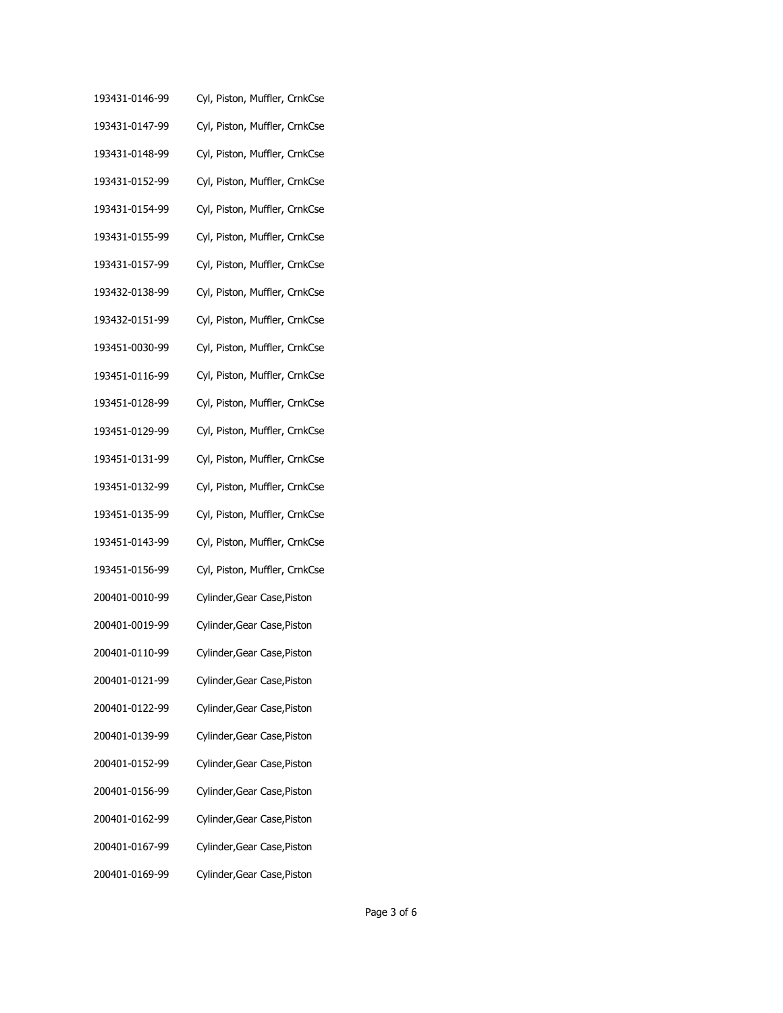- 193431-0146-99 Cyl, Piston, Muffler, CrnkCse
- 193431-0147-99 Cyl, Piston, Muffler, CrnkCse
- 193431-0148-99 Cyl, Piston, Muffler, CrnkCse
- 193431-0152-99 Cyl, Piston, Muffler, CrnkCse
- 193431-0154-99 Cyl, Piston, Muffler, CrnkCse
- 193431-0155-99 Cyl, Piston, Muffler, CrnkCse
- 193431-0157-99 Cyl, Piston, Muffler, CrnkCse
- 193432-0138-99 Cyl, Piston, Muffler, CrnkCse
- 193432-0151-99 Cyl, Piston, Muffler, CrnkCse
- 193451-0030-99 Cyl, Piston, Muffler, CrnkCse
- 193451-0116-99 Cyl, Piston, Muffler, CrnkCse
- 193451-0128-99 Cyl, Piston, Muffler, CrnkCse
- 193451-0129-99 Cyl, Piston, Muffler, CrnkCse
- 193451-0131-99 Cyl, Piston, Muffler, CrnkCse
- 193451-0132-99 Cyl, Piston, Muffler, CrnkCse
- 193451-0135-99 Cyl, Piston, Muffler, CrnkCse
- 193451-0143-99 Cyl, Piston, Muffler, CrnkCse
- 193451-0156-99 Cyl, Piston, Muffler, CrnkCse
- 200401-0010-99 Cylinder,Gear Case,Piston
- 200401-0019-99 Cylinder,Gear Case,Piston
- 200401-0110-99 Cylinder,Gear Case,Piston
- 200401-0121-99 Cylinder,Gear Case,Piston
- 200401-0122-99 Cylinder,Gear Case,Piston
- 200401-0139-99 Cylinder,Gear Case,Piston
- 200401-0152-99 Cylinder,Gear Case,Piston
- 200401-0156-99 Cylinder,Gear Case,Piston
- 200401-0162-99 Cylinder,Gear Case,Piston
- 200401-0167-99 Cylinder,Gear Case,Piston
- 200401-0169-99 Cylinder,Gear Case,Piston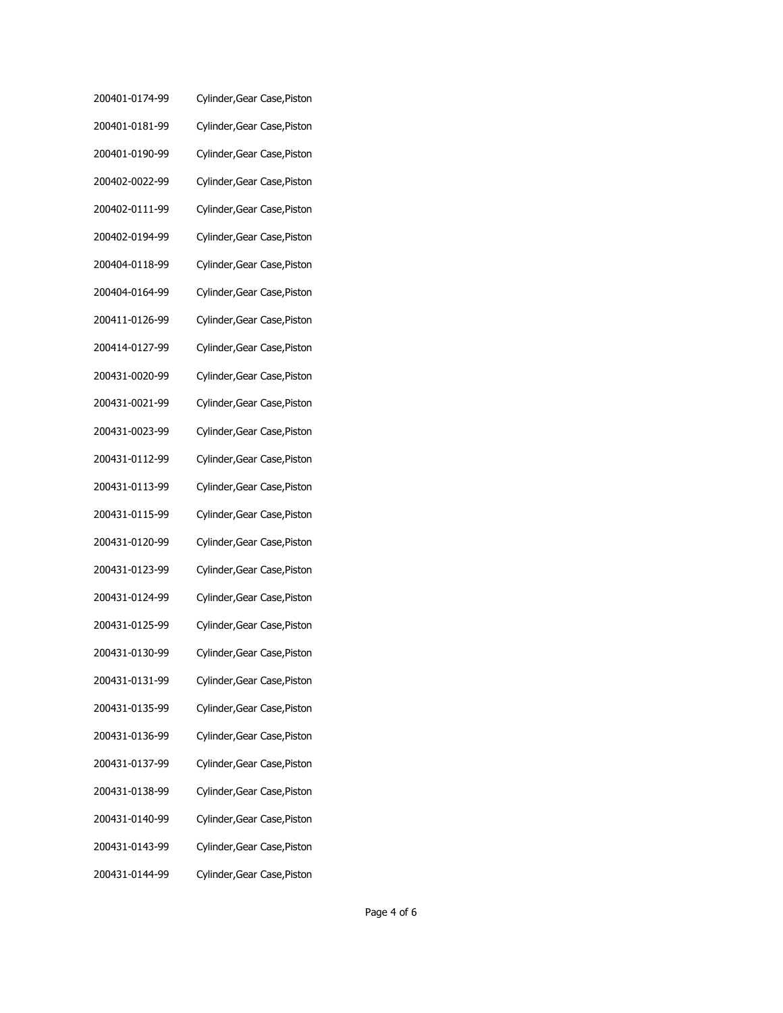| 200401-0174-99 | Cylinder, Gear Case, Piston |
|----------------|-----------------------------|
| 200401-0181-99 | Cylinder, Gear Case, Piston |
| 200401-0190-99 | Cylinder, Gear Case, Piston |
| 200402-0022-99 | Cylinder, Gear Case, Piston |
| 200402-0111-99 | Cylinder, Gear Case, Piston |
| 200402-0194-99 | Cylinder, Gear Case, Piston |
| 200404-0118-99 | Cylinder, Gear Case, Piston |
| 200404-0164-99 | Cylinder, Gear Case, Piston |
| 200411-0126-99 | Cylinder, Gear Case, Piston |
| 200414-0127-99 | Cylinder, Gear Case, Piston |
| 200431-0020-99 | Cylinder, Gear Case, Piston |
| 200431-0021-99 | Cylinder, Gear Case, Piston |
| 200431-0023-99 | Cylinder, Gear Case, Piston |
| 200431-0112-99 | Cylinder, Gear Case, Piston |
| 200431-0113-99 | Cylinder, Gear Case, Piston |
| 200431-0115-99 | Cylinder, Gear Case, Piston |
| 200431-0120-99 | Cylinder, Gear Case, Piston |
| 200431-0123-99 | Cylinder, Gear Case, Piston |
| 200431-0124-99 | Cylinder, Gear Case, Piston |
| 200431-0125-99 | Cylinder, Gear Case, Piston |
| 200431-0130-99 | Cylinder, Gear Case, Piston |
| 200431-0131-99 | Cylinder, Gear Case, Piston |
| 200431-0135-99 | Cylinder, Gear Case, Piston |
| 200431-0136-99 | Cylinder, Gear Case, Piston |
| 200431-0137-99 | Cylinder, Gear Case, Piston |
| 200431-0138-99 | Cylinder, Gear Case, Piston |
| 200431-0140-99 | Cylinder, Gear Case, Piston |
| 200431-0143-99 | Cylinder, Gear Case, Piston |
| 200431-0144-99 | Cylinder, Gear Case, Piston |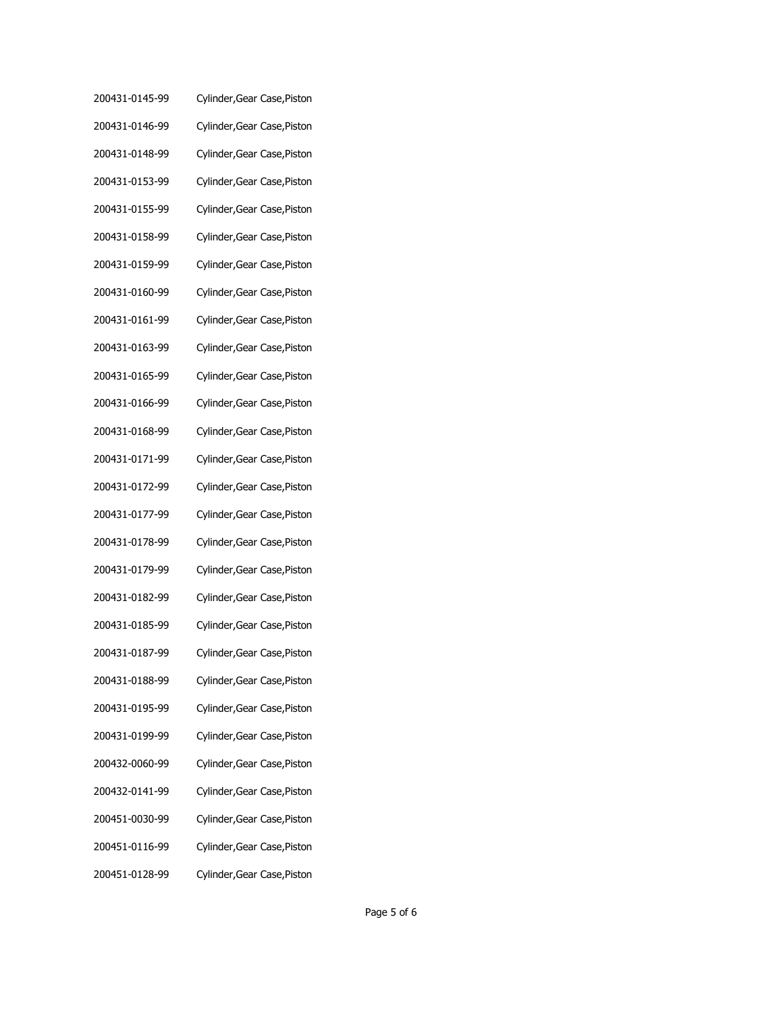| 200431-0145-99 | Cylinder, Gear Case, Piston |
|----------------|-----------------------------|
| 200431-0146-99 | Cylinder, Gear Case, Piston |
| 200431-0148-99 | Cylinder, Gear Case, Piston |
| 200431-0153-99 | Cylinder, Gear Case, Piston |
| 200431-0155-99 | Cylinder, Gear Case, Piston |
| 200431-0158-99 | Cylinder, Gear Case, Piston |
| 200431-0159-99 | Cylinder, Gear Case, Piston |
| 200431-0160-99 | Cylinder, Gear Case, Piston |
| 200431-0161-99 | Cylinder, Gear Case, Piston |
| 200431-0163-99 | Cylinder, Gear Case, Piston |
| 200431-0165-99 | Cylinder, Gear Case, Piston |
| 200431-0166-99 | Cylinder, Gear Case, Piston |
| 200431-0168-99 | Cylinder, Gear Case, Piston |
| 200431-0171-99 | Cylinder, Gear Case, Piston |
| 200431-0172-99 | Cylinder, Gear Case, Piston |
| 200431-0177-99 | Cylinder, Gear Case, Piston |
| 200431-0178-99 | Cylinder, Gear Case, Piston |
| 200431-0179-99 | Cylinder, Gear Case, Piston |
| 200431-0182-99 | Cylinder, Gear Case, Piston |
| 200431-0185-99 | Cylinder, Gear Case, Piston |
| 200431-0187-99 | Cylinder, Gear Case, Piston |
| 200431-0188-99 | Cylinder, Gear Case, Piston |
| 200431-0195-99 | Cylinder, Gear Case, Piston |
| 200431-0199-99 | Cylinder, Gear Case, Piston |
| 200432-0060-99 | Cylinder, Gear Case, Piston |
| 200432-0141-99 | Cylinder, Gear Case, Piston |
| 200451-0030-99 | Cylinder, Gear Case, Piston |
| 200451-0116-99 | Cylinder, Gear Case, Piston |
| 200451-0128-99 | Cylinder, Gear Case, Piston |